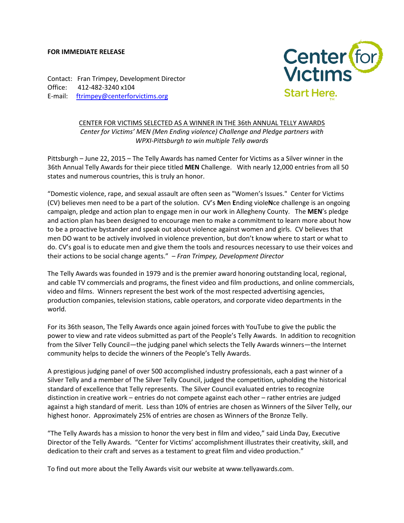## **FOR IMMEDIATE RELEASE**

Contact: Fran Trimpey, Development Director Office: 412-482-3240 x104 E-mail: [ftrimpey@centerforvictims.org](mailto:ftrimpey@centerforvictims.org)



CENTER FOR VICTIMS SELECTED AS A WINNER IN THE 36th ANNUAL TELLY AWARDS *Center for Victims' MEN (Men Ending violence) Challenge and Pledge partners with WPXI-Pittsburgh to win multiple Telly awards* 

Pittsburgh – June 22, 2015 – The Telly Awards has named Center for Victims as a Silver winner in the 36th Annual Telly Awards for their piece titled **MEN** Challenge. With nearly 12,000 entries from all 50 states and numerous countries, this is truly an honor.

"Domestic violence, rape, and sexual assault are often seen as "Women's Issues." Center for Victims (CV) believes men need to be a part of the solution. CV's **M**en **E**nding viole**N**ce challenge is an ongoing campaign, pledge and action plan to engage men in our work in Allegheny County. The **MEN**'s pledge and action plan has been designed to encourage men to make a commitment to learn more about how to be a proactive bystander and speak out about violence against women and girls. CV believes that men DO want to be actively involved in violence prevention, but don't know where to start or what to do. CV's goal is to educate men and give them the tools and resources necessary to use their voices and their actions to be social change agents." – *Fran Trimpey, Development Director*

The Telly Awards was founded in 1979 and is the premier award honoring outstanding local, regional, and cable TV commercials and programs, the finest video and film productions, and online commercials, video and films. Winners represent the best work of the most respected advertising agencies, production companies, television stations, cable operators, and corporate video departments in the world.

For its 36th season, The Telly Awards once again joined forces with YouTube to give the public the power to view and rate videos submitted as part of the People's Telly Awards. In addition to recognition from the Silver Telly Council—the judging panel which selects the Telly Awards winners—the Internet community helps to decide the winners of the People's Telly Awards.

A prestigious judging panel of over 500 accomplished industry professionals, each a past winner of a Silver Telly and a member of The Silver Telly Council, judged the competition, upholding the historical standard of excellence that Telly represents. The Silver Council evaluated entries to recognize distinction in creative work – entries do not compete against each other – rather entries are judged against a high standard of merit. Less than 10% of entries are chosen as Winners of the Silver Telly, our highest honor. Approximately 25% of entries are chosen as Winners of the Bronze Telly.

"The Telly Awards has a mission to honor the very best in film and video," said Linda Day, Executive Director of the Telly Awards. "Center for Victims' accomplishment illustrates their creativity, skill, and dedication to their craft and serves as a testament to great film and video production."

To find out more about the Telly Awards visit our website at www.tellyawards.com.